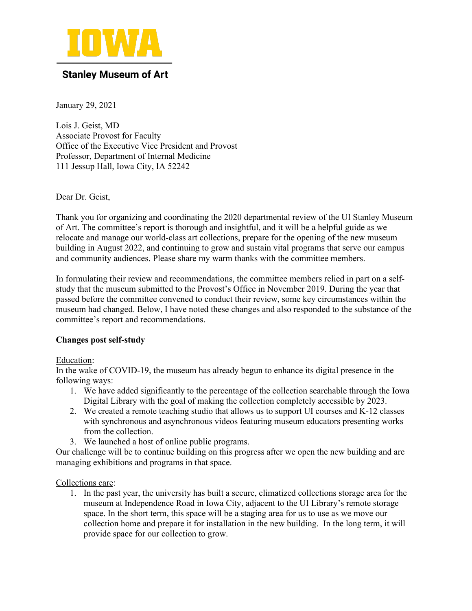

## **Stanley Museum of Art**

January 29, 2021

Lois J. Geist, MD Associate Provost for Faculty Office of the Executive Vice President and Provost Professor, Department of Internal Medicine 111 Jessup Hall, Iowa City, IA 52242

Dear Dr. Geist,

Thank you for organizing and coordinating the 2020 departmental review of the UI Stanley Museum of Art. The committee's report is thorough and insightful, and it will be a helpful guide as we relocate and manage our world-class art collections, prepare for the opening of the new museum building in August 2022, and continuing to grow and sustain vital programs that serve our campus and community audiences. Please share my warm thanks with the committee members.

In formulating their review and recommendations, the committee members relied in part on a selfstudy that the museum submitted to the Provost's Office in November 2019. During the year that passed before the committee convened to conduct their review, some key circumstances within the museum had changed. Below, I have noted these changes and also responded to the substance of the committee's report and recommendations.

### **Changes post self-study**

### Education:

In the wake of COVID-19, the museum has already begun to enhance its digital presence in the following ways:

- 1. We have added significantly to the percentage of the collection searchable through the Iowa Digital Library with the goal of making the collection completely accessible by 2023.
- 2. We created a remote teaching studio that allows us to support UI courses and K-12 classes with synchronous and asynchronous videos featuring museum educators presenting works from the collection.
- 3. We launched a host of online public programs.

Our challenge will be to continue building on this progress after we open the new building and are managing exhibitions and programs in that space.

### Collections care:

1. In the past year, the university has built a secure, climatized collections storage area for the museum at Independence Road in Iowa City, adjacent to the UI Library's remote storage space. In the short term, this space will be a staging area for us to use as we move our collection home and prepare it for installation in the new building. In the long term, it will provide space for our collection to grow.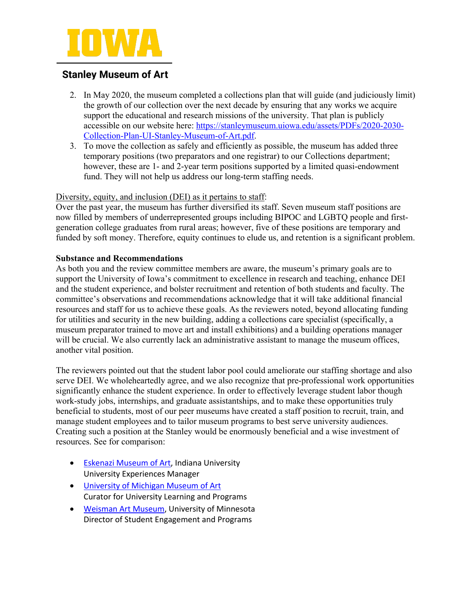

# **Stanley Museum of Art**

- 2. In May 2020, the museum completed a collections plan that will guide (and judiciously limit) the growth of our collection over the next decade by ensuring that any works we acquire support the educational and research missions of the university. That plan is publicly accessible on our website here: https://stanleymuseum.uiowa.edu/assets/PDFs/2020-2030- Collection-Plan-UI-Stanley-Museum-of-Art.pdf.
- 3. To move the collection as safely and efficiently as possible, the museum has added three temporary positions (two preparators and one registrar) to our Collections department; however, these are 1- and 2-year term positions supported by a limited quasi-endowment fund. They will not help us address our long-term staffing needs.

### Diversity, equity, and inclusion (DEI) as it pertains to staff:

Over the past year, the museum has further diversified its staff. Seven museum staff positions are now filled by members of underrepresented groups including BIPOC and LGBTQ people and firstgeneration college graduates from rural areas; however, five of these positions are temporary and funded by soft money. Therefore, equity continues to elude us, and retention is a significant problem.

### **Substance and Recommendations**

As both you and the review committee members are aware, the museum's primary goals are to support the University of Iowa's commitment to excellence in research and teaching, enhance DEI and the student experience, and bolster recruitment and retention of both students and faculty. The committee's observations and recommendations acknowledge that it will take additional financial resources and staff for us to achieve these goals. As the reviewers noted, beyond allocating funding for utilities and security in the new building, adding a collections care specialist (specifically, a museum preparator trained to move art and install exhibitions) and a building operations manager will be crucial. We also currently lack an administrative assistant to manage the museum offices, another vital position.

The reviewers pointed out that the student labor pool could ameliorate our staffing shortage and also serve DEI. We wholeheartedly agree, and we also recognize that pre-professional work opportunities significantly enhance the student experience. In order to effectively leverage student labor though work-study jobs, internships, and graduate assistantships, and to make these opportunities truly beneficial to students, most of our peer museums have created a staff position to recruit, train, and manage student employees and to tailor museum programs to best serve university audiences. Creating such a position at the Stanley would be enormously beneficial and a wise investment of resources. See for comparison:

- Eskenazi Museum of Art, Indiana University University Experiences Manager
- University of Michigan Museum of Art Curator for University Learning and Programs
- Weisman Art Museum, University of Minnesota Director of Student Engagement and Programs